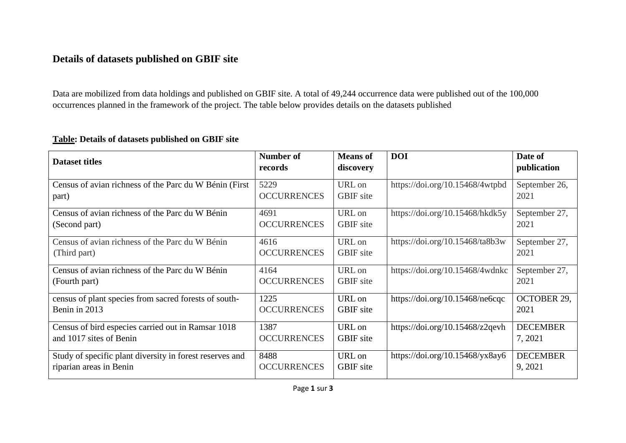## **Details of datasets published on GBIF site**

Data are mobilized from data holdings and published on GBIF site. A total of 49,244 occurrence data were published out of the 100,000 occurrences planned in the framework of the project. The table below provides details on the datasets published

## **Table: Details of datasets published on GBIF site**

| Dataset titles                                           | Number of<br>records | <b>Means</b> of<br>discovery | <b>DOI</b>                      | Date of<br>publication |
|----------------------------------------------------------|----------------------|------------------------------|---------------------------------|------------------------|
| Census of avian richness of the Parc du W Bénin (First)  | 5229                 | URL on                       | https://doi.org/10.15468/4wtpbd | September 26,          |
| part)                                                    | <b>OCCURRENCES</b>   | <b>GBIF</b> site             |                                 | 2021                   |
| Census of avian richness of the Parc du W Bénin          | 4691                 | URL on                       | https://doi.org/10.15468/hkdk5y | September 27,          |
| (Second part)                                            | <b>OCCURRENCES</b>   | <b>GBIF</b> site             |                                 | 2021                   |
| Census of avian richness of the Parc du W Bénin          | 4616                 | URL on                       | https://doi.org/10.15468/ta8b3w | September 27,          |
| (Third part)                                             | <b>OCCURRENCES</b>   | <b>GBIF</b> site             |                                 | 2021                   |
| Census of avian richness of the Parc du W Bénin          | 4164                 | URL on                       | https://doi.org/10.15468/4wdnkc | September 27,          |
| (Fourth part)                                            | <b>OCCURRENCES</b>   | <b>GBIF</b> site             |                                 | 2021                   |
| census of plant species from sacred forests of south-    | 1225                 | URL on                       | https://doi.org/10.15468/ne6cqc | <b>OCTOBER 29,</b>     |
| Benin in 2013                                            | <b>OCCURRENCES</b>   | <b>GBIF</b> site             |                                 | 2021                   |
| Census of bird especies carried out in Ramsar 1018       | 1387                 | URL on                       | https://doi.org/10.15468/z2qevh | <b>DECEMBER</b>        |
| and 1017 sites of Benin                                  | <b>OCCURRENCES</b>   | <b>GBIF</b> site             |                                 | 7, 2021                |
| Study of specific plant diversity in forest reserves and | 8488                 | URL on                       | https://doi.org/10.15468/yx8ay6 | <b>DECEMBER</b>        |
| riparian areas in Benin                                  | <b>OCCURRENCES</b>   | <b>GBIF</b> site             |                                 | 9, 2021                |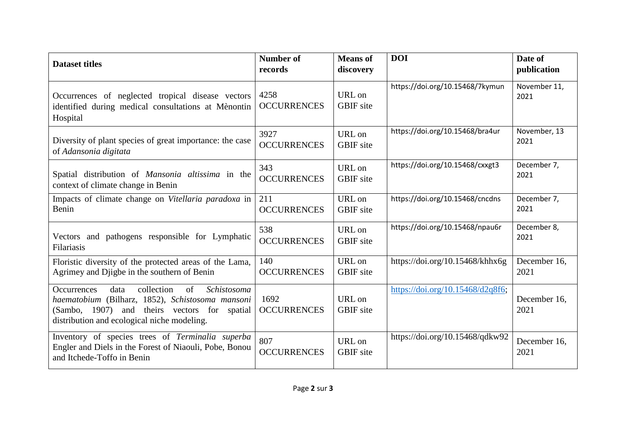| <b>Dataset titles</b>                                                                                                                                                                                            | <b>Number of</b><br>records | <b>Means of</b><br>discovery | <b>DOI</b>                       | Date of<br>publication |
|------------------------------------------------------------------------------------------------------------------------------------------------------------------------------------------------------------------|-----------------------------|------------------------------|----------------------------------|------------------------|
| Occurrences of neglected tropical disease vectors<br>identified during medical consultations at Mènontin<br>Hospital                                                                                             | 4258<br><b>OCCURRENCES</b>  | URL on<br><b>GBIF</b> site   | https://doi.org/10.15468/7kymun  | November 11,<br>2021   |
| Diversity of plant species of great importance: the case                                                                                                                                                         | 3927                        | URL on                       | https://doi.org/10.15468/bra4ur  | November, 13           |
| of Adansonia digitata                                                                                                                                                                                            | <b>OCCURRENCES</b>          | <b>GBIF</b> site             |                                  | 2021                   |
| Spatial distribution of <i>Mansonia altissima</i> in the                                                                                                                                                         | 343                         | URL on                       | https://doi.org/10.15468/cxxgt3  | December 7,            |
| context of climate change in Benin                                                                                                                                                                               | <b>OCCURRENCES</b>          | <b>GBIF</b> site             |                                  | 2021                   |
| Impacts of climate change on Vitellaria paradoxa in                                                                                                                                                              | 211                         | URL on                       | https://doi.org/10.15468/cncdns  | December 7,            |
| Benin                                                                                                                                                                                                            | <b>OCCURRENCES</b>          | <b>GBIF</b> site             |                                  | 2021                   |
| Vectors and pathogens responsible for Lymphatic                                                                                                                                                                  | 538                         | URL on                       | https://doi.org/10.15468/npau6r  | December 8,            |
| Filariasis                                                                                                                                                                                                       | <b>OCCURRENCES</b>          | <b>GBIF</b> site             |                                  | 2021                   |
| Floristic diversity of the protected areas of the Lama,                                                                                                                                                          | 140                         | URL on                       | https://doi.org/10.15468/khhx6g  | December 16,           |
| Agrimey and Djigbe in the southern of Benin                                                                                                                                                                      | <b>OCCURRENCES</b>          | <b>GBIF</b> site             |                                  | 2021                   |
| collection<br>of<br>Schistosoma<br>data<br><b>Occurrences</b><br>haematobium (Bilharz, 1852), Schistosoma mansoni<br>(Sambo, 1907) and theirs vectors for spatial<br>distribution and ecological niche modeling. | 1692<br><b>OCCURRENCES</b>  | URL on<br><b>GBIF</b> site   | https://doi.org/10.15468/d2q8f6; | December 16,<br>2021   |
| Inventory of species trees of Terminalia superba<br>Engler and Diels in the Forest of Niaouli, Pobe, Bonou<br>and Itchede-Toffo in Benin                                                                         | 807<br><b>OCCURRENCES</b>   | URL on<br><b>GBIF</b> site   | https://doi.org/10.15468/qdkw92  | December 16,<br>2021   |